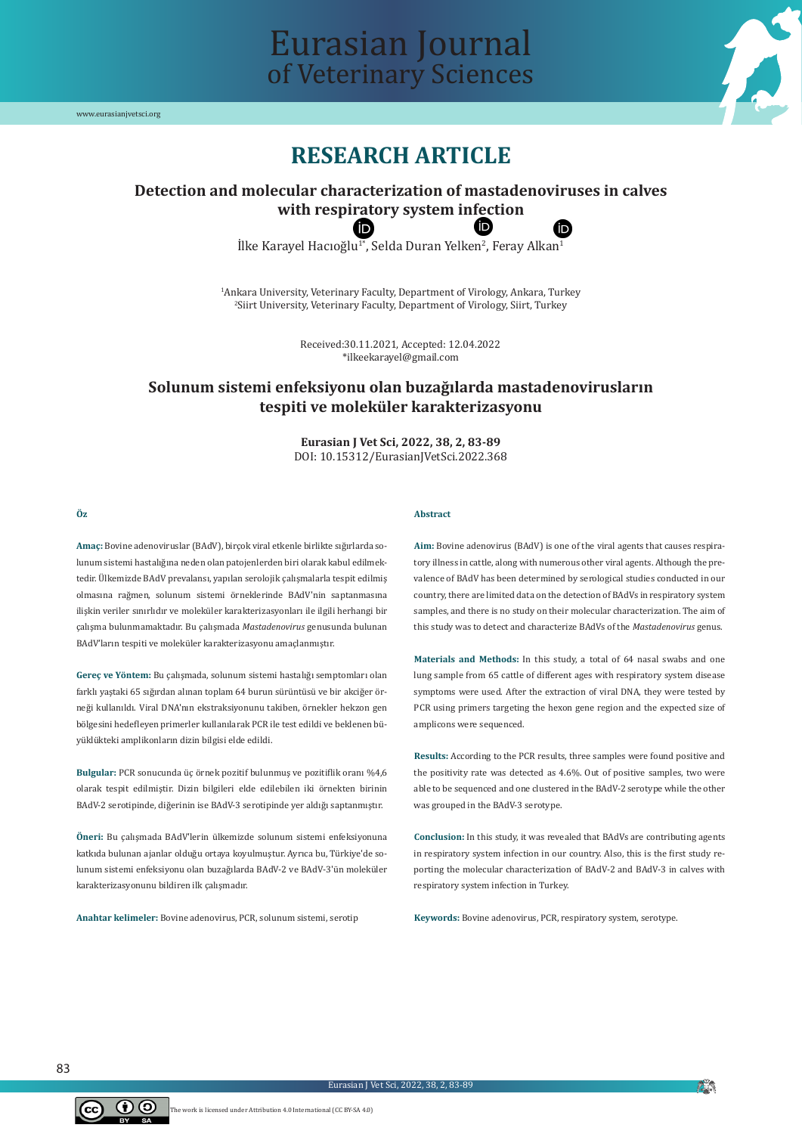

# Eurasian Journal of Veterinary Sciences

## **RESEARCH ARTICLE**

#### **Detection and molecular characterization of mastadenoviruses in calves with respi[rat](https://orcid.org/0000-0003-1566-630X)ory system in[fec](https://orcid.org/0000-0003-0633-3132)tion** (id Ô

 $\rm II$ ke Karayel Hacıoğlu $^{1*}$ , Selda Duran Yelken $^{2}$ , Feray Alkan $^{1}$ 

1 Ankara University, Veterinary Faculty, Department of Virology, Ankara, Turkey 2 Siirt University, Veterinary Faculty, Department of Virology, Siirt, Turkey

> Received:30.11.2021, Accepted: 12.04.2022 \*ilkeekarayel@gmail.com

### **Solunum sistemi enfeksiyonu olan buzağılarda mastadenovirusların tespiti ve moleküler karakterizasyonu**

**Eurasian J Vet Sci, 2022, 38, 2, 83-89** DOI: 10.15312/EurasianJVetSci.2022.368

#### **Öz**

**Amaç:** Bovine adenoviruslar (BAdV), birçok viral etkenle birlikte sığırlarda solunum sistemi hastalığına neden olan patojenlerden biri olarak kabul edilmektedir. Ülkemizde BAdV prevalansı, yapılan serolojik çalışmalarla tespit edilmiş olmasına rağmen, solunum sistemi örneklerinde BAdV'nin saptanmasına ilişkin veriler sınırlıdır ve moleküler karakterizasyonları ile ilgili herhangi bir çalışma bulunmamaktadır. Bu çalışmada *Mastadenovirus* genusunda bulunan BAdV'ların tespiti ve moleküler karakterizasyonu amaçlanmıştır.

**Gereç ve Yöntem:** Bu çalışmada, solunum sistemi hastalığı semptomları olan farklı yaştaki 65 sığırdan alınan toplam 64 burun sürüntüsü ve bir akciğer örneği kullanıldı. Viral DNA'nın ekstraksiyonunu takiben, örnekler hekzon gen bölgesini hedefleyen primerler kullanılarak PCR ile test edildi ve beklenen büyüklükteki amplikonların dizin bilgisi elde edildi.

**Bulgular:** PCR sonucunda üç örnek pozitif bulunmuş ve pozitiflik oranı %4,6 olarak tespit edilmiştir. Dizin bilgileri elde edilebilen iki örnekten birinin BAdV-2 serotipinde, diğerinin ise BAdV-3 serotipinde yer aldığı saptanmıştır.

**Öneri:** Bu çalışmada BAdV'lerin ülkemizde solunum sistemi enfeksiyonuna katkıda bulunan ajanlar olduğu ortaya koyulmuştur. Ayrıca bu, Türkiye'de solunum sistemi enfeksiyonu olan buzağılarda BAdV-2 ve BAdV-3'ün moleküler karakterizasyonunu bildiren ilk çalışmadır.

**Anahtar kelimeler:** Bovine adenovirus, PCR, solunum sistemi, serotip

#### **Abstract**

**Aim:** Bovine adenovirus (BAdV) is one of the viral agents that causes respiratory illness in cattle, along with numerous other viral agents. Although the prevalence of BAdV has been determined by serological studies conducted in our country, there are limited data on the detection of BAdVs in respiratory system samples, and there is no study on their molecular characterization. The aim of this study was to detect and characterize BAdVs of the *Mastadenovirus* genus.

**Materials and Methods:** In this study, a total of 64 nasal swabs and one lung sample from 65 cattle of different ages with respiratory system disease symptoms were used. After the extraction of viral DNA, they were tested by PCR using primers targeting the hexon gene region and the expected size of amplicons were sequenced.

**Results:** According to the PCR results, three samples were found positive and the positivity rate was detected as 4.6%. Out of positive samples, two were able to be sequenced and one clustered in the BAdV-2 serotype while the other was grouped in the BAdV-3 serotype.

**Conclusion:** In this study, it was revealed that BAdVs are contributing agents in respiratory system infection in our country. Also, this is the first study reporting the molecular characterization of BAdV-2 and BAdV-3 in calves with respiratory system infection in Turkey.

**Keywords:** Bovine adenovirus, PCR, respiratory system, serotype.

83



**P**N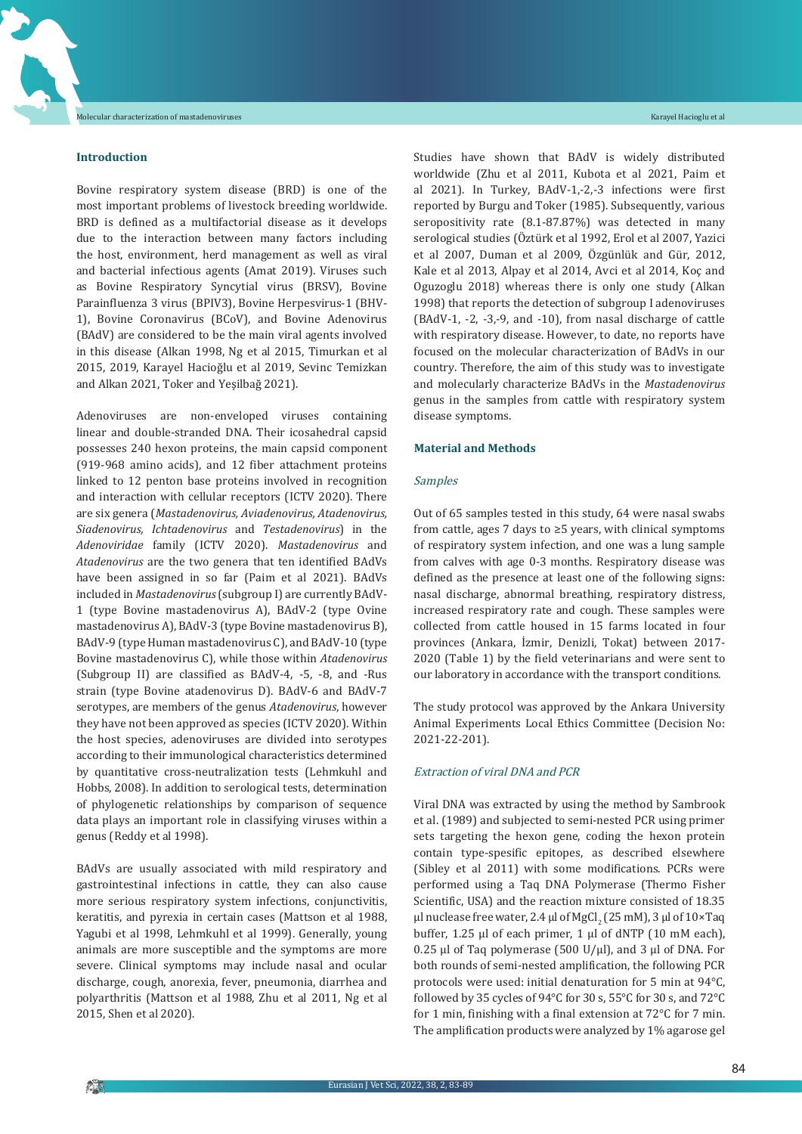#### **Introduction**

Bovine respiratory system disease (BRD) is one of the most important problems of livestock breeding worldwide. BRD is defined as a multifactorial disease as it develops due to the interaction between many factors including the host, environment, herd management as well as viral and bacterial infectious agents (Amat 2019). Viruses such as Bovine Respiratory Syncytial virus (BRSV), Bovine Parainfluenza 3 virus (BPIV3), Bovine Herpesvirus-1 (BHV-1), Bovine Coronavirus (BCoV), and Bovine Adenovirus (BAdV) are considered to be the main viral agents involved in this disease (Alkan 1998, Ng et al 2015, Timurkan et al 2015, 2019, Karayel Hacioğlu et al 2019, Sevinc Temizkan and Alkan 2021, Toker and Yeşilbağ 2021).

Adenoviruses are non-enveloped viruses containing linear and double-stranded DNA. Their icosahedral capsid possesses 240 hexon proteins, the main capsid component (919-968 amino acids), and 12 fiber attachment proteins linked to 12 penton base proteins involved in recognition and interaction with cellular receptors (ICTV 2020). There are six genera (*Mastadenovirus, Aviadenovirus, Atadenovirus, Siadenovirus, Ichtadenovirus* and *Testadenovirus*) in the *Adenoviridae* family (ICTV 2020). *Mastadenovirus* and *Atadenovirus* are the two genera that ten identified BAdVs have been assigned in so far (Paim et al 2021). BAdVs included in *Mastadenovirus*(subgroup I) are currently BAdV-1 (type Bovine mastadenovirus A), BAdV-2 (type Ovine mastadenovirus A), BAdV-3 (type Bovine mastadenovirus B), BAdV-9 (type Human mastadenovirus C), and BAdV-10 (type Bovine mastadenovirus C), while those within *Atadenovirus* (Subgroup II) are classified as BAdV-4, -5, -8, and -Rus strain (type Bovine atadenovirus D). BAdV-6 and BAdV-7 serotypes, are members of the genus *Atadenovirus*, however they have not been approved as species (ICTV 2020). Within the host species, adenoviruses are divided into serotypes according to their immunological characteristics determined by quantitative cross-neutralization tests (Lehmkuhl and Hobbs, 2008). In addition to serological tests, determination of phylogenetic relationships by comparison of sequence data plays an important role in classifying viruses within a genus (Reddy et al 1998).

BAdVs are usually associated with mild respiratory and gastrointestinal infections in cattle, they can also cause more serious respiratory system infections, conjunctivitis, keratitis, and pyrexia in certain cases (Mattson et al 1988, Yagubi et al 1998, Lehmkuhl et al 1999). Generally, young animals are more susceptible and the symptoms are more severe. Clinical symptoms may include nasal and ocular discharge, cough, anorexia, fever, pneumonia, diarrhea and polyarthritis (Mattson et al 1988, Zhu et al 2011, Ng et al 2015, Shen et al 2020).

Studies have shown that BAdV is widely distributed worldwide (Zhu et al 2011, Kubota et al 2021, Paim et al 2021). In Turkey, BAdV-1,-2,-3 infections were first reported by Burgu and Toker (1985). Subsequently, various seropositivity rate (8.1-87.87%) was detected in many serological studies (Öztürk et al 1992, Erol et al 2007, Yazici et al 2007, Duman et al 2009, Özgünlük and Gür, 2012, Kale et al 2013, Alpay et al 2014, Avci et al 2014, Koç and Oguzoglu 2018) whereas there is only one study (Alkan 1998) that reports the detection of subgroup I adenoviruses (BAdV-1, -2, -3,-9, and -10), from nasal discharge of cattle with respiratory disease. However, to date, no reports have focused on the molecular characterization of BAdVs in our country. Therefore, the aim of this study was to investigate and molecularly characterize BAdVs in the *Mastadenovirus* genus in the samples from cattle with respiratory system disease symptoms.

#### **Material and Methods**

#### Samples

Out of 65 samples tested in this study, 64 were nasal swabs from cattle, ages 7 days to  $\geq$ 5 years, with clinical symptoms of respiratory system infection, and one was a lung sample from calves with age 0-3 months. Respiratory disease was defined as the presence at least one of the following signs: nasal discharge, abnormal breathing, respiratory distress, increased respiratory rate and cough. These samples were collected from cattle housed in 15 farms located in four provinces (Ankara, İzmir, Denizli, Tokat) between 2017- 2020 (Table 1) by the field veterinarians and were sent to our laboratory in accordance with the transport conditions.

The study protocol was approved by the Ankara University Animal Experiments Local Ethics Committee (Decision No: 2021-22-201).

#### Extraction of viral DNA and PCR

Viral DNA was extracted by using the method by Sambrook et al. (1989) and subjected to semi-nested PCR using primer sets targeting the hexon gene, coding the hexon protein contain type-spesific epitopes, as described elsewhere (Sibley et al 2011) with some modifications. PCRs were performed using a Taq DNA Polymerase (Thermo Fisher Scientific, USA) and the reaction mixture consisted of 18.35 μl nuclease free water, 2.4 μl of MgCl<sub>2</sub> (25 mM), 3 μl of 10×Taq buffer, 1.25 μl of each primer, 1 μl of dNTP (10 mM each), 0.25 μl of Taq polymerase (500 U/μl), and 3 μl of DNA. For both rounds of semi-nested amplification, the following PCR protocols were used: initial denaturation for 5 min at 94°C, followed by 35 cycles of 94°C for 30 s, 55°C for 30 s, and 72°C for 1 min, finishing with a final extension at 72°C for 7 min. The amplification products were analyzed by 1% agarose gel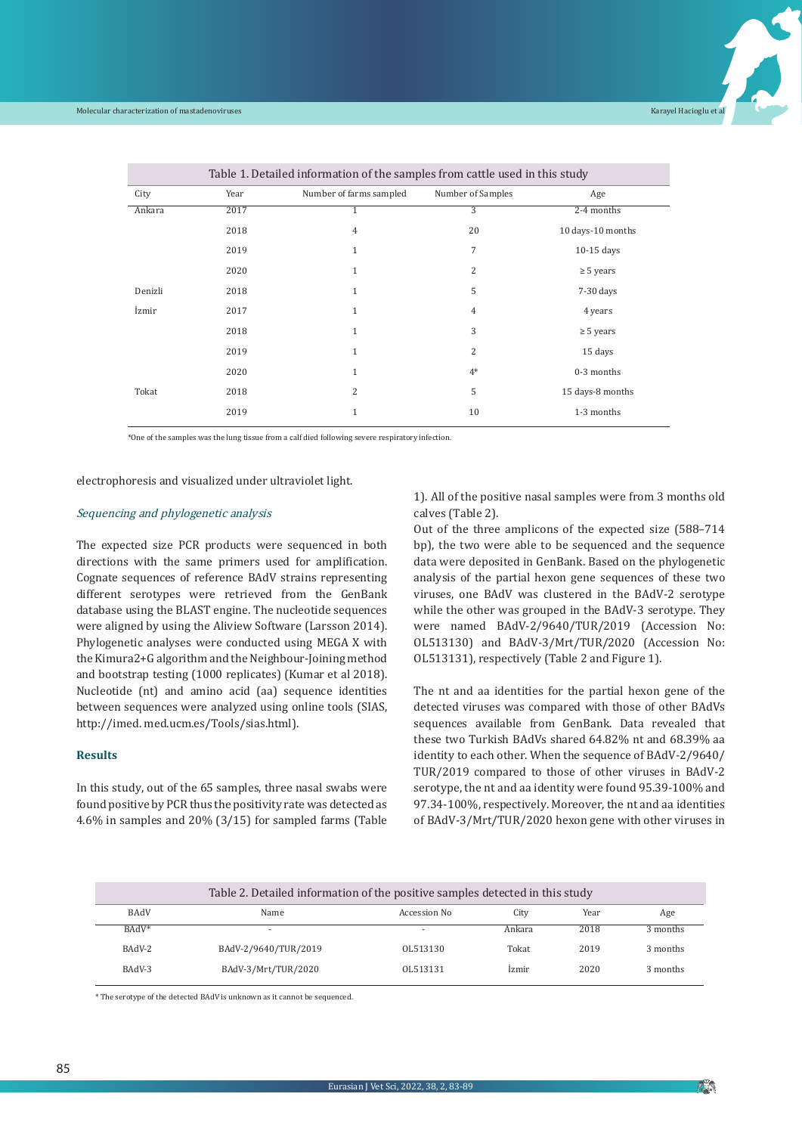

| Table 1. Detailed information of the samples from cattle used in this study |      |                         |                   |                   |  |  |  |
|-----------------------------------------------------------------------------|------|-------------------------|-------------------|-------------------|--|--|--|
| City                                                                        | Year | Number of farms sampled | Number of Samples | Age               |  |  |  |
| Ankara                                                                      | 2017 | 1                       | 3                 | $2-4$ months      |  |  |  |
|                                                                             | 2018 | 4                       | 20                | 10 days-10 months |  |  |  |
|                                                                             | 2019 | $\mathbf{1}$            | 7                 | $10-15$ days      |  |  |  |
|                                                                             | 2020 | $\mathbf{1}$            | 2                 | $\geq$ 5 years    |  |  |  |
| Denizli                                                                     | 2018 | $\mathbf{1}$            | 5                 | $7-30$ days       |  |  |  |
| İzmir                                                                       | 2017 | $\mathbf{1}$            | $\overline{4}$    | 4 years           |  |  |  |
|                                                                             | 2018 | $\mathbf{1}$            | 3                 | $\geq$ 5 years    |  |  |  |
|                                                                             | 2019 | $\mathbf{1}$            | $\overline{2}$    | 15 days           |  |  |  |
|                                                                             | 2020 | $\mathbf{1}$            | $4*$              | 0-3 months        |  |  |  |
| Tokat                                                                       | 2018 | $\overline{2}$          | 5                 | 15 days-8 months  |  |  |  |
|                                                                             | 2019 | $\mathbf{1}$            | 10                | 1-3 months        |  |  |  |
|                                                                             |      |                         |                   |                   |  |  |  |

\*One of the samples was the lung tissue from a calf died following severe respiratory infection.

electrophoresis and visualized under ultraviolet light.

#### Sequencing and phylogenetic analysis

The expected size PCR products were sequenced in both directions with the same primers used for amplification. Cognate sequences of reference BAdV strains representing different serotypes were retrieved from the GenBank database using the BLAST engine. The nucleotide sequences were aligned by using the Aliview Software (Larsson 2014). Phylogenetic analyses were conducted using MEGA X with the Kimura2+G algorithm and the Neighbour-Joining method and bootstrap testing (1000 replicates) (Kumar et al 2018). Nucleotide (nt) and amino acid (aa) sequence identities between sequences were analyzed using online tools (SIAS, http://imed. med.ucm.es/Tools/sias.html).

#### **Results**

In this study, out of the 65 samples, three nasal swabs were found positive by PCR thus the positivity rate was detected as 4.6% in samples and 20% (3/15) for sampled farms (Table 1). All of the positive nasal samples were from 3 months old calves (Table 2).

Out of the three amplicons of the expected size (588–714 bp), the two were able to be sequenced and the sequence data were deposited in GenBank. Based on the phylogenetic analysis of the partial hexon gene sequences of these two viruses, one BAdV was clustered in the BAdV-2 serotype while the other was grouped in the BAdV-3 serotype. They were named BAdV-2/9640/TUR/2019 (Accession No: OL513130) and BAdV-3/Mrt/TUR/2020 (Accession No: OL513131), respectively (Table 2 and Figure 1).

The nt and aa identities for the partial hexon gene of the detected viruses was compared with those of other BAdVs sequences available from GenBank. Data revealed that these two Turkish BAdVs shared 64.82% nt and 68.39% aa identity to each other. When the sequence of BAdV-2/9640/ TUR/2019 compared to those of other viruses in BAdV-2 serotype, the nt and aa identity were found 95.39-100% and 97.34-100%, respectively. Moreover, the nt and aa identities of BAdV-3/Mrt/TUR/2020 hexon gene with other viruses in

| Table 2. Detailed information of the positive samples detected in this study |                      |              |        |      |          |  |  |  |
|------------------------------------------------------------------------------|----------------------|--------------|--------|------|----------|--|--|--|
| <b>BAdV</b>                                                                  | Name                 | Accession No | City   | Year | Age      |  |  |  |
| $BAdV^*$                                                                     |                      | ۰            | Ankara | 2018 | 3 months |  |  |  |
| BAdV-2                                                                       | BAdV-2/9640/TUR/2019 | OL513130     | Tokat  | 2019 | 3 months |  |  |  |
| BAdV-3                                                                       | BAdV-3/Mrt/TUR/2020  | 01.513131    | Izmir  | 2020 | 3 months |  |  |  |

\* The serotype of the detected BAdV is unknown as it cannot be sequenced.

**FO** N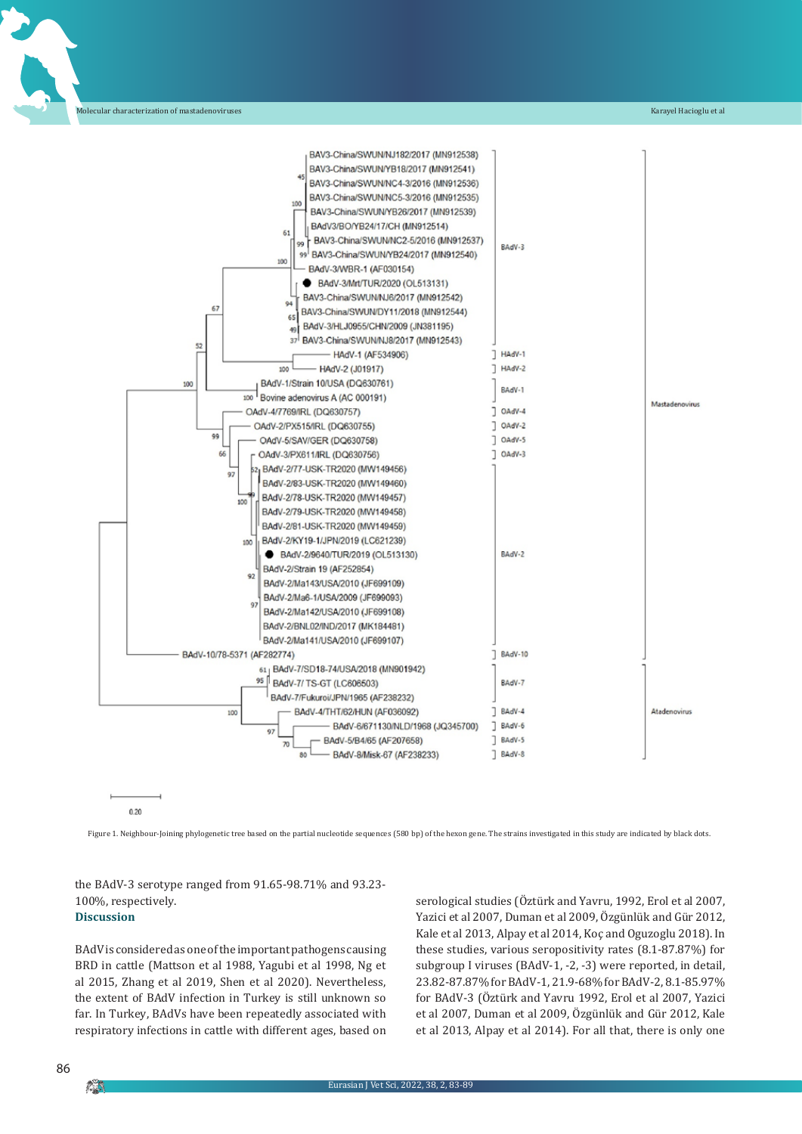

0.20

Figure 1. Neighbour-Joining phylogenetic tree based on the partial nucleotide sequences (580 bp) of the hexon gene. The strains investigated in this study are indicated by black dots.

the BAdV-3 serotype ranged from 91.65-98.71% and 93.23- 100%, respectively. **Discussion**

BAdV is considered as one of the important pathogens causing BRD in cattle (Mattson et al 1988, Yagubi et al 1998, Ng et al 2015, Zhang et al 2019, Shen et al 2020). Nevertheless, the extent of BAdV infection in Turkey is still unknown so far. In Turkey, BAdVs have been repeatedly associated with respiratory infections in cattle with different ages, based on serological studies (Öztürk and Yavru, 1992, Erol et al 2007, Yazici et al 2007, Duman et al 2009, Özgünlük and Gür 2012, Kale et al 2013, Alpay et al 2014, Koç and Oguzoglu 2018). In these studies, various seropositivity rates (8.1-87.87%) for subgroup I viruses (BAdV-1, -2, -3) were reported, in detail, 23.82-87.87%forBAdV-1, 21.9-68%forBAdV-2, 8.1-85.97% for BAdV-3 (Öztürk and Yavru 1992, Erol et al 2007, Yazici et al 2007, Duman et al 2009, Özgünlük and Gür 2012, Kale et al 2013, Alpay et al 2014). For all that, there is only one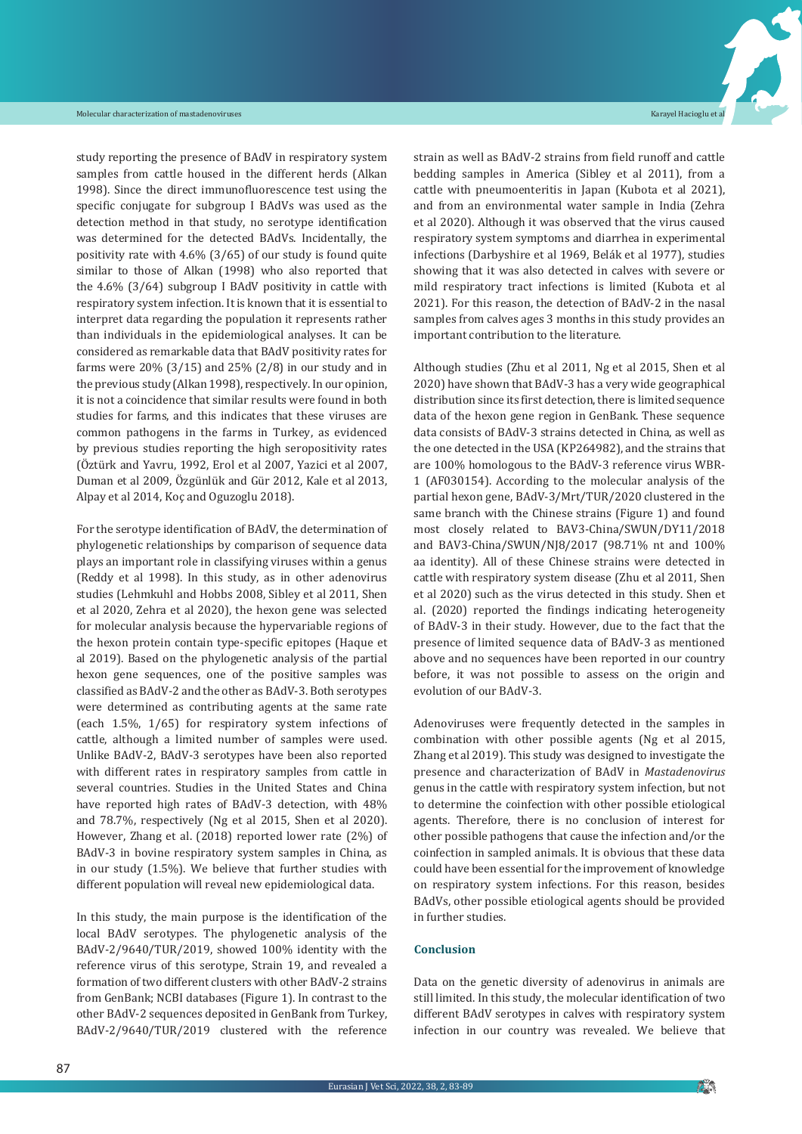study reporting the presence of BAdV in respiratory system samples from cattle housed in the different herds (Alkan 1998). Since the direct immunofluorescence test using the specific conjugate for subgroup I BAdVs was used as the detection method in that study, no serotype identification was determined for the detected BAdVs. Incidentally, the positivity rate with 4.6% (3/65) of our study is found quite similar to those of Alkan (1998) who also reported that the 4.6% (3/64) subgroup I BAdV positivity in cattle with respiratory system infection. It is known that it is essential to interpret data regarding the population it represents rather than individuals in the epidemiological analyses. It can be considered as remarkable data that BAdV positivity rates for farms were 20% (3/15) and 25% (2/8) in our study and in the previous study (Alkan 1998), respectively. In our opinion, it is not a coincidence that similar results were found in both studies for farms, and this indicates that these viruses are common pathogens in the farms in Turkey, as evidenced by previous studies reporting the high seropositivity rates (Öztürk and Yavru, 1992, Erol et al 2007, Yazici et al 2007, Duman et al 2009, Özgünlük and Gür 2012, Kale et al 2013, Alpay et al 2014, Koç and Oguzoglu 2018).

For the serotype identification of BAdV, the determination of phylogenetic relationships by comparison of sequence data plays an important role in classifying viruses within a genus (Reddy et al 1998). In this study, as in other adenovirus studies (Lehmkuhl and Hobbs 2008, Sibley et al 2011, Shen et al 2020, Zehra et al 2020), the hexon gene was selected for molecular analysis because the hypervariable regions of the hexon protein contain type-specific epitopes (Haque et al 2019). Based on the phylogenetic analysis of the partial hexon gene sequences, one of the positive samples was classified as BAdV-2 and the other as BAdV-3. Both serotypes were determined as contributing agents at the same rate (each 1.5%, 1/65) for respiratory system infections of cattle, although a limited number of samples were used. Unlike BAdV-2, BAdV-3 serotypes have been also reported with different rates in respiratory samples from cattle in several countries. Studies in the United States and China have reported high rates of BAdV-3 detection, with 48% and 78.7%, respectively (Ng et al 2015, Shen et al 2020). However, Zhang et al. (2018) reported lower rate (2%) of BAdV-3 in bovine respiratory system samples in China, as in our study (1.5%). We believe that further studies with different population will reveal new epidemiological data.

In this study, the main purpose is the identification of the local BAdV serotypes. The phylogenetic analysis of the BAdV-2/9640/TUR/2019, showed 100% identity with the reference virus of this serotype, Strain 19, and revealed a formation oftwo different clusters with other BAdV-2 strains from GenBank; NCBI databases (Figure 1). In contrast to the other BAdV-2 sequences deposited in GenBank from Turkey, BAdV-2/9640/TUR/2019 clustered with the reference

strain as well as BAdV-2 strains from field runoff and cattle bedding samples in America (Sibley et al 2011), from a cattle with pneumoenteritis in Japan (Kubota et al 2021), and from an environmental water sample in India (Zehra et al 2020). Although it was observed that the virus caused respiratory system symptoms and diarrhea in experimental infections (Darbyshire et al 1969, Belák et al 1977), studies showing that it was also detected in calves with severe or mild respiratory tract infections is limited (Kubota et al 2021). For this reason, the detection of BAdV-2 in the nasal samples from calves ages 3 months in this study provides an important contribution to the literature.

Although studies (Zhu et al 2011, Ng et al 2015, Shen et al 2020) have shown that BAdV-3 has a very wide geographical distribution since its first detection, there is limited sequence data of the hexon gene region in GenBank. These sequence data consists of BAdV-3 strains detected in China, as well as the one detected in the USA (KP264982), and the strains that are 100% homologous to the BAdV-3 reference virus WBR-1 (AF030154). According to the molecular analysis of the partial hexon gene, BAdV-3/Mrt/TUR/2020 clustered in the same branch with the Chinese strains (Figure 1) and found most closely related to BAV3-China/SWUN/DY11/2018 and BAV3-China/SWUN/NJ8/2017 (98.71% nt and 100% aa identity). All of these Chinese strains were detected in cattle with respiratory system disease (Zhu et al 2011, Shen et al 2020) such as the virus detected in this study. Shen et al. (2020) reported the findings indicating heterogeneity of BAdV-3 in their study. However, due to the fact that the presence of limited sequence data of BAdV-3 as mentioned above and no sequences have been reported in our country before, it was not possible to assess on the origin and evolution of our BAdV-3.

Adenoviruses were frequently detected in the samples in combination with other possible agents (Ng et al 2015, Zhang et al 2019). This study was designed to investigate the presence and characterization of BAdV in *Mastadenovirus* genus in the cattle with respiratory system infection, but not to determine the coinfection with other possible etiological agents. Therefore, there is no conclusion of interest for other possible pathogens that cause the infection and/or the coinfection in sampled animals. It is obvious that these data could have been essential for the improvement of knowledge on respiratory system infections. For this reason, besides BAdVs, other possible etiological agents should be provided in further studies.

#### **Conclusion**

Data on the genetic diversity of adenovirus in animals are still limited. In this study, the molecular identification of two different BAdV serotypes in calves with respiratory system infection in our country was revealed. We believe that

**AN**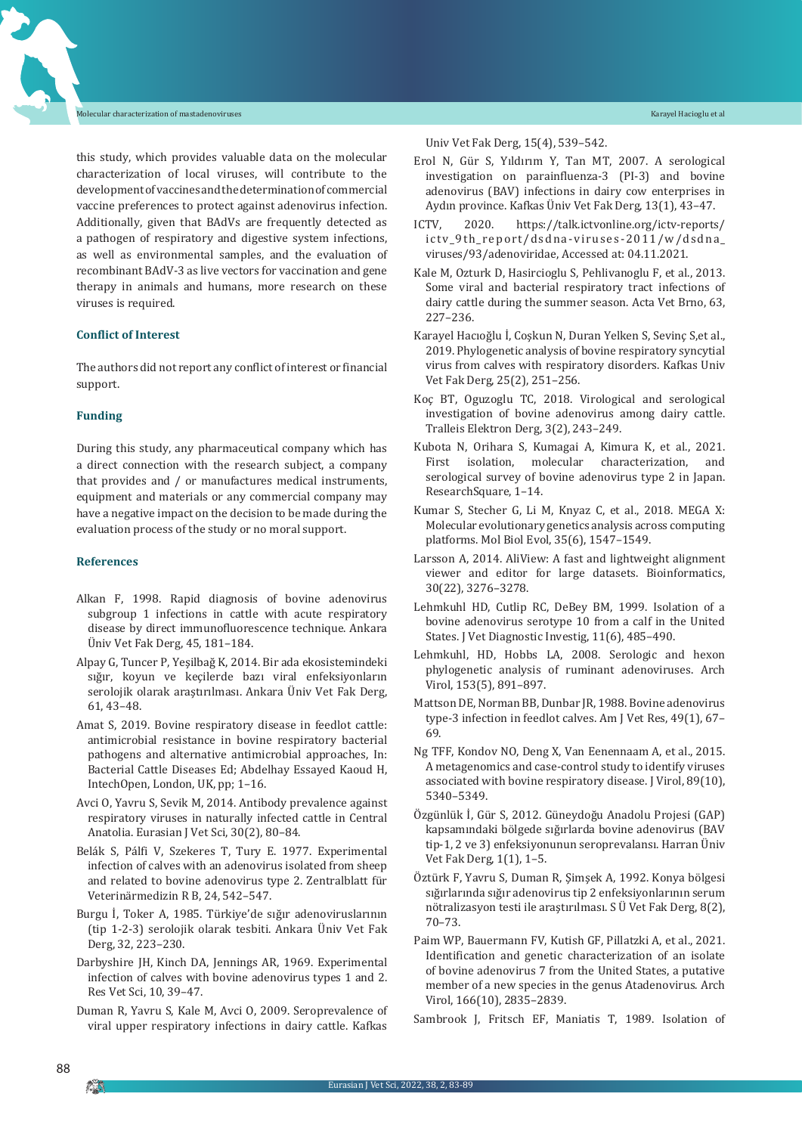this study, which provides valuable data on the molecular characterization of local viruses, will contribute to the developmentofvaccinesandthedeterminationofcommercial vaccine preferences to protect against adenovirus infection. Additionally, given that BAdVs are frequently detected as a pathogen of respiratory and digestive system infections, as well as environmental samples, and the evaluation of recombinant BAdV-3 as live vectors for vaccination and gene therapy in animals and humans, more research on these viruses is required.

#### **Conflict of Interest**

The authors did not report any conflict of interest or financial support.

#### **Funding**

During this study, any pharmaceutical company which has a direct connection with the research subject, a company that provides and / or manufactures medical instruments, equipment and materials or any commercial company may have a negative impact on the decision to be made during the evaluation process of the study or no moral support.

#### **References**

- Alkan F, 1998. Rapid diagnosis of bovine adenovirus subgroup 1 infections in cattle with acute respiratory disease by direct immunofluorescence technique. Ankara Üniv Vet Fak Derg, 45, 181–184.
- Alpay G, Tuncer P, Yeşilbağ K, 2014. Bir ada ekosistemindeki sığır, koyun ve keçilerde bazı viral enfeksiyonların serolojik olarak araştırılması. Ankara Üniv Vet Fak Derg, 61, 43–48.
- Amat S, 2019. Bovine respiratory disease in feedlot cattle: antimicrobial resistance in bovine respiratory bacterial pathogens and alternative antimicrobial approaches, In: Bacterial Cattle Diseases Ed; Abdelhay Essayed Kaoud H, IntechOpen, London, UK, pp; 1–16.
- Avci O, Yavru S, Sevik M, 2014. Antibody prevalence against respiratory viruses in naturally infected cattle in Central Anatolia. Eurasian J Vet Sci, 30(2), 80–84.
- Belák S, Pálfi V, Szekeres T, Tury E. 1977. Experimental infection of calves with an adenovirus isolated from sheep and related to bovine adenovirus type 2. Zentralblatt für Veterinärmedizin R B, 24, 542–547.
- Burgu İ, Toker A, 1985. Türkiye'de sığır adenoviruslarının (tip 1-2-3) serolojik olarak tesbiti. Ankara Üniv Vet Fak Derg, 32, 223–230.
- Darbyshire JH, Kinch DA, Jennings AR, 1969. Experimental infection of calves with bovine adenovirus types 1 and 2. Res Vet Sci, 10, 39–47.
- Duman R, Yavru S, Kale M, Avci O, 2009. Seroprevalence of viral upper respiratory infections in dairy cattle. Kafkas

#### Univ Vet Fak Derg, 15(4), 539–542.

- Erol N, Gür S, Yıldırım Y, Tan MT, 2007. A serological investigation on parainfluenza-3 (PI-3) and bovine adenovirus (BAV) infections in dairy cow enterprises in Aydın province. Kafkas Üniv Vet Fak Derg, 13(1), 43–47.
- ICTV, 2020. https://talk.ictvonline.org/ictv-reports/ ictv\_9th\_report/dsdna-viruses-2011/w/dsdna\_ viruses/93/adenoviridae, Accessed at: 04.11.2021.
- Kale M, Ozturk D, Hasircioglu S, Pehlivanoglu F, et al., 2013. Some viral and bacterial respiratory tract infections of dairy cattle during the summer season. Acta Vet Brno, 63, 227–236.
- Karayel Hacıoğlu İ, Coşkun N, Duran Yelken S, Sevinç S,et al., 2019. Phylogenetic analysis of bovine respiratory syncytial virus from calves with respiratory disorders. Kafkas Univ Vet Fak Derg, 25(2), 251–256.
- Koç BT, Oguzoglu TC, 2018. Virological and serological investigation of bovine adenovirus among dairy cattle. Tralleis Elektron Derg, 3(2), 243–249.
- Kubota N, Orihara S, Kumagai A, Kimura K, et al., 2021.<br>First isolation, molecular characterization, and molecular characterization, serological survey of bovine adenovirus type 2 in Japan. ResearchSquare, 1–14.
- Kumar S, Stecher G, Li M, Knyaz C, et al., 2018. MEGA X: Molecular evolutionary genetics analysis across computing platforms. Mol Biol Evol, 35(6), 1547–1549.
- Larsson A, 2014. AliView: A fast and lightweight alignment viewer and editor for large datasets. Bioinformatics, 30(22), 3276–3278.
- Lehmkuhl HD, Cutlip RC, DeBey BM, 1999. Isolation of a bovine adenovirus serotype 10 from a calf in the United States. J Vet Diagnostic Investig, 11(6), 485–490.
- Lehmkuhl, HD, Hobbs LA, 2008. Serologic and hexon phylogenetic analysis of ruminant adenoviruses. Arch Virol, 153(5), 891–897.
- Mattson DE, Norman BB, Dunbar JR, 1988. Bovine adenovirus type-3 infection in feedlot calves. Am J Vet Res, 49(1), 67– 69.
- Ng TFF, Kondov NO, Deng X, Van Eenennaam A, et al., 2015. A metagenomics and case-control study to identify viruses associated with bovine respiratory disease. J Virol, 89(10), 5340–5349.
- Özgünlük İ, Gür S, 2012. Güneydoğu Anadolu Projesi (GAP) kapsamındaki bölgede sığırlarda bovine adenovirus (BAV tip-1, 2 ve 3) enfeksiyonunun seroprevalansı. Harran Üniv Vet Fak Derg, 1(1), 1–5.
- Öztürk F, Yavru S, Duman R, Şimşek A, 1992. Konya bölgesi sığırlarında sığır adenovirus tip 2 enfeksiyonlarının serum nötralizasyon testi ile araştırılması. S Ü Vet Fak Derg, 8(2), 70–73.
- Paim WP, Bauermann FV, Kutish GF, Pillatzki A, et al., 2021. Identification and genetic characterization of an isolate of bovine adenovirus 7 from the United States, a putative member of a new species in the genus Atadenovirus. Arch Virol, 166(10), 2835–2839.
- Sambrook J, Fritsch EF, Maniatis T, 1989. Isolation of